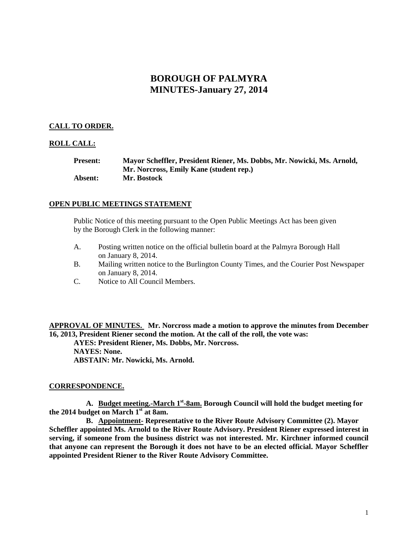# **BOROUGH OF PALMYRA MINUTES-January 27, 2014**

# **CALL TO ORDER.**

### **ROLL CALL:**

| <b>Present:</b> | Mayor Scheffler, President Riener, Ms. Dobbs, Mr. Nowicki, Ms. Arnold, |
|-----------------|------------------------------------------------------------------------|
|                 | Mr. Norcross, Emily Kane (student rep.)                                |
| <b>Absent:</b>  | Mr. Bostock                                                            |

### **OPEN PUBLIC MEETINGS STATEMENT**

Public Notice of this meeting pursuant to the Open Public Meetings Act has been given by the Borough Clerk in the following manner:

- A. Posting written notice on the official bulletin board at the Palmyra Borough Hall on January 8, 2014.
- B. Mailing written notice to the Burlington County Times, and the Courier Post Newspaper on January 8, 2014.
- C. Notice to All Council Members.

**APPROVAL OF MINUTES. Mr. Norcross made a motion to approve the minutes from December 16, 2013, President Riener second the motion. At the call of the roll, the vote was:**

**AYES: President Riener, Ms. Dobbs, Mr. Norcross. NAYES: None. ABSTAIN: Mr. Nowicki, Ms. Arnold.**

### **CORRESPONDENCE.**

**A. Budget meeting.-March 1st -8am. Borough Council will hold the budget meeting for the 2014 budget on March 1st at 8am.** 

**B. Appointment- Representative to the River Route Advisory Committee (2). Mayor Scheffler appointed Ms. Arnold to the River Route Advisory. President Riener expressed interest in serving, if someone from the business district was not interested. Mr. Kirchner informed council that anyone can represent the Borough it does not have to be an elected official. Mayor Scheffler appointed President Riener to the River Route Advisory Committee.**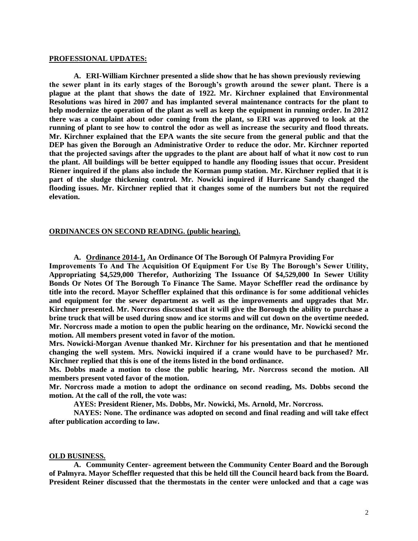#### **PROFESSIONAL UPDATES:**

**A. ERI-William Kirchner presented a slide show that he has shown previously reviewing the sewer plant in its early stages of the Borough's growth around the sewer plant. There is a plague at the plant that shows the date of 1922. Mr. Kirchner explained that Environmental Resolutions was hired in 2007 and has implanted several maintenance contracts for the plant to help modernize the operation of the plant as well as keep the equipment in running order. In 2012 there was a complaint about odor coming from the plant, so ERI was approved to look at the running of plant to see how to control the odor as well as increase the security and flood threats. Mr. Kirchner explained that the EPA wants the site secure from the general public and that the DEP has given the Borough an Administrative Order to reduce the odor. Mr. Kirchner reported that the projected savings after the upgrades to the plant are about half of what it now cost to run the plant. All buildings will be better equipped to handle any flooding issues that occur. President Riener inquired if the plans also include the Korman pump station. Mr. Kirchner replied that it is part of the sludge thickening control. Mr. Nowicki inquired if Hurricane Sandy changed the flooding issues. Mr. Kirchner replied that it changes some of the numbers but not the required elevation.** 

#### **ORDINANCES ON SECOND READING. (public hearing).**

**A. Ordinance 2014-1, An Ordinance Of The Borough Of Palmyra Providing For**

**Improvements To And The Acquisition Of Equipment For Use By The Borough's Sewer Utility, Appropriating \$4,529,000 Therefor, Authorizing The Issuance Of \$4,529,000 In Sewer Utility Bonds Or Notes Of The Borough To Finance The Same. Mayor Scheffler read the ordinance by title into the record. Mayor Scheffler explained that this ordinance is for some additional vehicles and equipment for the sewer department as well as the improvements and upgrades that Mr. Kirchner presented. Mr. Norcross discussed that it will give the Borough the ability to purchase a brine truck that will be used during snow and ice storms and will cut down on the overtime needed. Mr. Norcross made a motion to open the public hearing on the ordinance, Mr. Nowicki second the motion. All members present voted in favor of the motion.**

**Mrs. Nowicki-Morgan Avenue thanked Mr. Kirchner for his presentation and that he mentioned changing the well system. Mrs. Nowicki inquired if a crane would have to be purchased? Mr. Kirchner replied that this is one of the items listed in the bond ordinance.** 

**Ms. Dobbs made a motion to close the public hearing, Mr. Norcross second the motion. All members present voted favor of the motion.**

**Mr. Norcross made a motion to adopt the ordinance on second reading, Ms. Dobbs second the motion. At the call of the roll, the vote was:**

**AYES: President Riener, Ms. Dobbs, Mr. Nowicki, Ms. Arnold, Mr. Norcross.**

**NAYES: None. The ordinance was adopted on second and final reading and will take effect after publication according to law.**

#### **OLD BUSINESS.**

**A. Community Center- agreement between the Community Center Board and the Borough of Palmyra. Mayor Scheffler requested that this be held till the Council heard back from the Board. President Reiner discussed that the thermostats in the center were unlocked and that a cage was**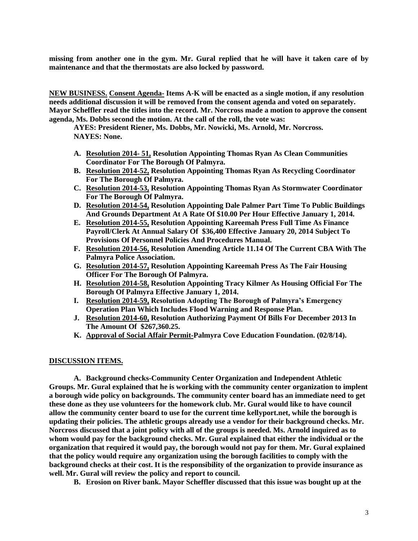**missing from another one in the gym. Mr. Gural replied that he will have it taken care of by maintenance and that the thermostats are also locked by password.** 

**NEW BUSINESS. Consent Agenda- Items A-K will be enacted as a single motion, if any resolution needs additional discussion it will be removed from the consent agenda and voted on separately. Mayor Scheffler read the titles into the record. Mr. Norcross made a motion to approve the consent agenda, Ms. Dobbs second the motion. At the call of the roll, the vote was:**

**AYES: President Riener, Ms. Dobbs, Mr. Nowicki, Ms. Arnold, Mr. Norcross. NAYES: None.** 

- **A. Resolution 2014- 51, Resolution Appointing Thomas Ryan As Clean Communities Coordinator For The Borough Of Palmyra.**
- **B. Resolution 2014-52, Resolution Appointing Thomas Ryan As Recycling Coordinator For The Borough Of Palmyra.**
- **C. Resolution 2014-53, Resolution Appointing Thomas Ryan As Stormwater Coordinator For The Borough Of Palmyra.**
- **D. Resolution 2014-54, Resolution Appointing Dale Palmer Part Time To Public Buildings And Grounds Department At A Rate Of \$10.00 Per Hour Effective January 1, 2014.**
- **E. Resolution 2014-55, Resolution Appointing Kareemah Press Full Time As Finance Payroll/Clerk At Annual Salary Of \$36,400 Effective January 20, 2014 Subject To Provisions Of Personnel Policies And Procedures Manual.**
- **F. Resolution 2014-56, Resolution Amending Article 11.14 Of The Current CBA With The Palmyra Police Association.**
- **G. Resolution 2014-57, Resolution Appointing Kareemah Press As The Fair Housing Officer For The Borough Of Palmyra.**
- **H. Resolution 2014-58, Resolution Appointing Tracy Kilmer As Housing Official For The Borough Of Palmyra Effective January 1, 2014.**
- **I. Resolution 2014-59, Resolution Adopting The Borough of Palmyra's Emergency Operation Plan Which Includes Flood Warning and Response Plan.**
- **J. Resolution 2014-60, Resolution Authorizing Payment Of Bills For December 2013 In The Amount Of \$267,360.25.**
- **K. Approval of Social Affair Permit-Palmyra Cove Education Foundation. (02/8/14).**

### **DISCUSSION ITEMS.**

**A. Background checks-Community Center Organization and Independent Athletic Groups. Mr. Gural explained that he is working with the community center organization to implent a borough wide policy on backgrounds. The community center board has an immediate need to get these done as they use volunteers for the homework club. Mr. Gural would like to have council allow the community center board to use for the current time kellyport.net, while the borough is updating their policies. The athletic groups already use a vendor for their background checks. Mr. Norcross discussed that a joint policy with all of the groups is needed. Ms. Arnold inquired as to whom would pay for the background checks. Mr. Gural explained that either the individual or the organization that required it would pay, the borough would not pay for them. Mr. Gural explained that the policy would require any organization using the borough facilities to comply with the background checks at their cost. It is the responsibility of the organization to provide insurance as well. Mr. Gural will review the policy and report to council.** 

**B. Erosion on River bank. Mayor Scheffler discussed that this issue was bought up at the**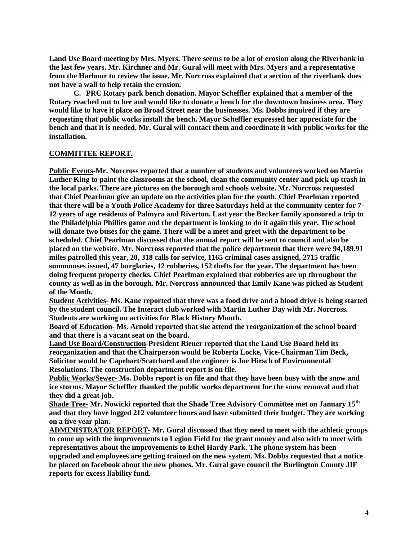**Land Use Board meeting by Mrs. Myers. There seems to be a lot of erosion along the Riverbank in the last few years. Mr. Kirchner and Mr. Gural will meet with Mrs. Myers and a representative from the Harbour to review the issue. Mr. Norcross explained that a section of the riverbank does not have a wall to help retain the erosion.** 

**C. PRC Rotary park bench donation. Mayor Scheffler explained that a member of the Rotary reached out to her and would like to donate a bench for the downtown business area. They would like to have it place on Broad Street near the businesses. Ms. Dobbs inquired if they are requesting that public works install the bench. Mayor Scheffler expressed her appreciate for the bench and that it is needed. Mr. Gural will contact them and coordinate it with public works for the installation.** 

# **COMMITTEE REPORT.**

**Public Events-Mr. Norcross reported that a number of students and volunteers worked on Martin Luther King to paint the classrooms at the school, clean the community center and pick up trash in the local parks. There are pictures on the borough and schools website. Mr. Norcross requested that Chief Pearlman give an update on the activities plan for the youth. Chief Pearlman reported that there will be a Youth Police Academy for three Saturdays held at the community center for 7- 12 years of age residents of Palmyra and Riverton. Last year the Becker family sponsored a trip to the Philadelphia Phillies game and the department is looking to do it again this year. The school will donate two buses for the game. There will be a meet and greet with the department to be scheduled. Chief Pearlman discussed that the annual report will be sent to council and also be placed on the website. Mr. Norcross reported that the police department that there were 94,189.91 miles patrolled this year, 20, 318 calls for service, 1165 criminal cases assigned, 2715 traffic summonses issued, 47 burglaries, 12 robberies, 152 thefts for the year. The department has been doing frequent property checks. Chief Pearlman explained that robberies are up throughout the county as well as in the borough. Mr. Norcross announced that Emily Kane was picked as Student of the Month.** 

**Student Activities- Ms. Kane reported that there was a food drive and a blood drive is being started by the student council. The Interact club worked with Martin Luther Day with Mr. Norcross. Students are working on activities for Black History Month.** 

**Board of Education- Ms. Arnold reported that she attend the reorganization of the school board and that there is a vacant seat on the board.**

**Land Use Board/Construction-President Riener reported that the Land Use Board held its reorganization and that the Chairperson would be Roberta Locke, Vice-Chairman Tim Beck, Solicitor would be Capehart/Scatchard and the engineer is Joe Hirsch of Environmental Resolutions. The construction department report is on file.** 

**Public Works/Sewer- Ms. Dobbs report is on file and that they have been busy with the snow and ice storms. Mayor Scheffler thanked the public works department for the snow removal and that they did a great job.**

**Shade Tree- Mr. Nowicki reported that the Shade Tree Advisory Committee met on January 15th and that they have logged 212 volunteer hours and have submitted their budget. They are working on a five year plan.**

**ADMINISTRATOR REPORT- Mr. Gural discussed that they need to meet with the athletic groups to come up with the improvements to Legion Field for the grant money and also with to meet with representatives about the improvements to Ethel Hardy Park. The phone system has been upgraded and employees are getting trained on the new system. Ms. Dobbs requested that a notice be placed on facebook about the new phones. Mr. Gural gave council the Burlington County JIF reports for excess liability fund.**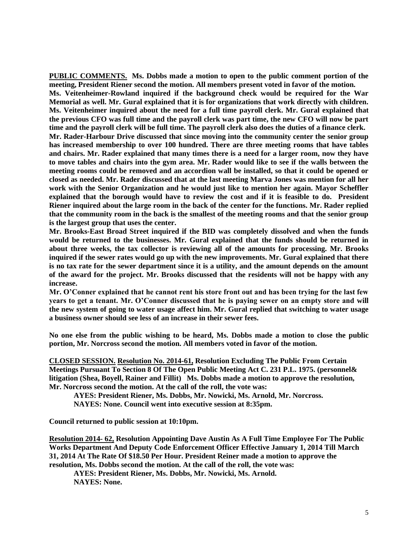**PUBLIC COMMENTS. Ms. Dobbs made a motion to open to the public comment portion of the meeting, President Riener second the motion. All members present voted in favor of the motion. Ms. Veitenheimer-Rowland inquired if the background check would be required for the War Memorial as well. Mr. Gural explained that it is for organizations that work directly with children. Ms. Veitenheimer inquired about the need for a full time payroll clerk. Mr. Gural explained that the previous CFO was full time and the payroll clerk was part time, the new CFO will now be part time and the payroll clerk will be full time. The payroll clerk also does the duties of a finance clerk. Mr. Rader-Harbour Drive discussed that since moving into the community center the senior group has increased membership to over 100 hundred. There are three meeting rooms that have tables and chairs. Mr. Rader explained that many times there is a need for a larger room, now they have to move tables and chairs into the gym area. Mr. Rader would like to see if the walls between the meeting rooms could be removed and an accordion wall be installed, so that it could be opened or closed as needed. Mr. Rader discussed that at the last meeting Marva Jones was mention for all her work with the Senior Organization and he would just like to mention her again. Mayor Scheffler explained that the borough would have to review the cost and if it is feasible to do. President Riener inquired about the large room in the back of the center for the functions. Mr. Rader replied that the community room in the back is the smallest of the meeting rooms and that the senior group is the largest group that uses the center.** 

**Mr. Brooks-East Broad Street inquired if the BID was completely dissolved and when the funds would be returned to the businesses. Mr. Gural explained that the funds should be returned in about three weeks, the tax collector is reviewing all of the amounts for processing. Mr. Brooks inquired if the sewer rates would go up with the new improvements. Mr. Gural explained that there is no tax rate for the sewer department since it is a utility, and the amount depends on the amount of the award for the project. Mr. Brooks discussed that the residents will not be happy with any increase.** 

**Mr. O'Conner explained that he cannot rent his store front out and has been trying for the last few years to get a tenant. Mr. O'Conner discussed that he is paying sewer on an empty store and will the new system of going to water usage affect him. Mr. Gural replied that switching to water usage a business owner should see less of an increase in their sewer fees.** 

**No one else from the public wishing to be heard, Ms. Dobbs made a motion to close the public portion, Mr. Norcross second the motion. All members voted in favor of the motion.** 

**CLOSED SESSION. Resolution No. 2014-61, Resolution Excluding The Public From Certain Meetings Pursuant To Section 8 Of The Open Public Meeting Act C. 231 P.L. 1975. (personnel& litigation (Shea, Boyell, Rainer and Fillit) Ms. Dobbs made a motion to approve the resolution, Mr. Norcross second the motion. At the call of the roll, the vote was:**

**AYES: President Riener, Ms. Dobbs, Mr. Nowicki, Ms. Arnold, Mr. Norcross.**

**NAYES: None. Council went into executive session at 8:35pm.**

**Council returned to public session at 10:10pm.**

**Resolution 2014- 62, Resolution Appointing Dave Austin As A Full Time Employee For The Public Works Department And Deputy Code Enforcement Officer Effective January 1, 2014 Till March 31, 2014 At The Rate Of \$18.50 Per Hour. President Reiner made a motion to approve the resolution, Ms. Dobbs second the motion. At the call of the roll, the vote was:**

**AYES: President Riener, Ms. Dobbs, Mr. Nowicki, Ms. Arnold. NAYES: None.**